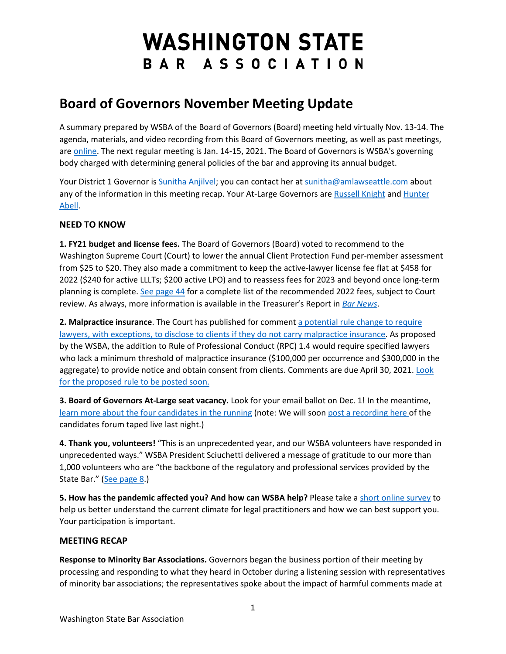# **WASHINGTON STATE** BAR ASSOCIATION

# **Board of Governors November Meeting Update**

A summary prepared by WSBA of the Board of Governors (Board) meeting held virtually Nov. 13-14. The agenda, materials, and video recording from this Board of Governors meeting, as well as past meetings, are [online.](https://urldefense.com/v3/__http:/WSBA.informz.net/z/cjUucD9taT0zMTQ5MTkxJnA9MSZ1PTM3MjU0ODkxOSZsaT0yNjcxMzc5MA/index.html__;!!MxMh4AY!wv00CG1qXapfMB_QKJ7zh2Hu65UWqq9fjckOFdR_RjBXp51yBmUx_96EKHo$) The next regular meeting is Jan. 14-15, 2021. The Board of Governors is WSBA's governing body charged with determining general policies of the bar and approving its annual budget.

Your District 1 Governor is [Sunitha Anjilvel;](https://urldefense.com/v3/__http:/WSBA.informz.net/z/cjUucD9taT0zMTQ5MTkxJnA9MSZ1PTM3MjU0ODkxOSZsaT0yNjcxMzc5MQ/index.html__;!!MxMh4AY!wv00CG1qXapfMB_QKJ7zh2Hu65UWqq9fjckOFdR_RjBXp51yBmUxyXUo5cQ$) you can contact her at [sunitha@amlawseattle.com a](mailto:sunitha@amlawseattle.com)bout any of the information in this meeting recap. Your At-Large Governors are [Russell Knight](https://urldefense.com/v3/__http:/WSBA.informz.net/z/cjUucD9taT0zMTQ5MTkxJnA9MSZ1PTM3MjU0ODkxOSZsaT0yNjcxMzc5Mg/index.html__;!!MxMh4AY!wv00CG1qXapfMB_QKJ7zh2Hu65UWqq9fjckOFdR_RjBXp51yBmUx5U0vdq8$) and Hunter [Abell.](https://urldefense.com/v3/__http:/WSBA.informz.net/z/cjUucD9taT0zMTQ5MTkxJnA9MSZ1PTM3MjU0ODkxOSZsaT0yNjcxMzc5Mw/index.html__;!!MxMh4AY!wv00CG1qXapfMB_QKJ7zh2Hu65UWqq9fjckOFdR_RjBXp51yBmUx_E9XPO0$)

## **NEED TO KNOW**

**1. FY21 budget and license fees.** The Board of Governors (Board) voted to recommend to the Washington Supreme Court (Court) to lower the annual Client Protection Fund per-member assessment from \$25 to \$20. They also made a commitment to keep the active-lawyer license fee flat at \$458 for 2022 (\$240 for active LLLTs; \$200 active LPO) and to reassess fees for 2023 and beyond once long-term planning is complete. [See page 44](https://urldefense.com/v3/__http:/WSBA.informz.net/z/cjUucD9taT0zMTQ5MTkxJnA9MSZ1PTM3MjU0ODkxOSZsaT0yNjcxMzc5NA/index.html__;!!MxMh4AY!wv00CG1qXapfMB_QKJ7zh2Hu65UWqq9fjckOFdR_RjBXp51yBmUxNddWvpc$) for a complete list of the recommended 2022 fees, subject to Court review. As always, more information is available in the Treasurer's Report in *[Bar News](https://urldefense.com/v3/__http:/WSBA.informz.net/z/cjUucD9taT0zMTQ5MTkxJnA9MSZ1PTM3MjU0ODkxOSZsaT0yNjcxMzc5NQ/index.html__;!!MxMh4AY!wv00CG1qXapfMB_QKJ7zh2Hu65UWqq9fjckOFdR_RjBXp51yBmUxfySILWE$)*.

**2. Malpractice insurance**. The Court has published for comment [a potential rule change to require](https://urldefense.com/v3/__http:/WSBA.informz.net/z/cjUucD9taT0zMTQ5MTkxJnA9MSZ1PTM3MjU0ODkxOSZsaT0yNjcxMzc5Ng/index.html__;!!MxMh4AY!wv00CG1qXapfMB_QKJ7zh2Hu65UWqq9fjckOFdR_RjBXp51yBmUxnm7BukY$)  [lawyers, with exceptions, to disclose to clients if they do not carry malpractice insurance.](https://urldefense.com/v3/__http:/WSBA.informz.net/z/cjUucD9taT0zMTQ5MTkxJnA9MSZ1PTM3MjU0ODkxOSZsaT0yNjcxMzc5Ng/index.html__;!!MxMh4AY!wv00CG1qXapfMB_QKJ7zh2Hu65UWqq9fjckOFdR_RjBXp51yBmUxnm7BukY$) As proposed by the WSBA, the addition to Rule of Professional Conduct (RPC) 1.4 would require specified lawyers who lack a minimum threshold of malpractice insurance (\$100,000 per occurrence and \$300,000 in the aggregate) to provide notice and obtain consent from clients. Comments are due April 30, 2021. Look [for the proposed rule to be posted soon.](https://urldefense.com/v3/__http:/WSBA.informz.net/z/cjUucD9taT0zMTQ5MTkxJnA9MSZ1PTM3MjU0ODkxOSZsaT0yNjcxMzc5Nw/index.html__;!!MxMh4AY!wv00CG1qXapfMB_QKJ7zh2Hu65UWqq9fjckOFdR_RjBXp51yBmUxbRCPvy4$) 

**3. Board of Governors At-Large seat vacancy.** Look for your email ballot on Dec. 1! In the meantime, [learn more about the four candidates in the running](https://urldefense.com/v3/__http:/WSBA.informz.net/z/cjUucD9taT0zMTQ5MTkxJnA9MSZ1PTM3MjU0ODkxOSZsaT0yNjcxMzc5OA/index.html__;!!MxMh4AY!wv00CG1qXapfMB_QKJ7zh2Hu65UWqq9fjckOFdR_RjBXp51yBmUxeu-7KeY$) (note: We will soon [post a recording here o](https://urldefense.com/v3/__http:/WSBA.informz.net/z/cjUucD9taT0zMTQ5MTkxJnA9MSZ1PTM3MjU0ODkxOSZsaT0yNjcxMzc5OQ/index.html__;!!MxMh4AY!wv00CG1qXapfMB_QKJ7zh2Hu65UWqq9fjckOFdR_RjBXp51yBmUxhAEqOk8$)f the candidates forum taped live last night.)

**4. Thank you, volunteers!** "This is an unprecedented year, and our WSBA volunteers have responded in unprecedented ways." WSBA President Sciuchetti delivered a message of gratitude to our more than 1,000 volunteers who are "the backbone of the regulatory and professional services provided by the State Bar." [\(See page 8.](https://urldefense.com/v3/__http:/WSBA.informz.net/z/cjUucD9taT0zMTQ5MTkxJnA9MSZ1PTM3MjU0ODkxOSZsaT0yNjcxMzgwMA/index.html__;!!MxMh4AY!wv00CG1qXapfMB_QKJ7zh2Hu65UWqq9fjckOFdR_RjBXp51yBmUxS3DpYdk$))

**5. How has the pandemic affected you? And how can WSBA help?** Please take [a short online survey](https://urldefense.com/v3/__http:/WSBA.informz.net/z/cjUucD9taT0zMTQ5MTkxJnA9MSZ1PTM3MjU0ODkxOSZsaT0yNjcxMzgwMQ/index.html__;!!MxMh4AY!wv00CG1qXapfMB_QKJ7zh2Hu65UWqq9fjckOFdR_RjBXp51yBmUxoTjlqBI$) to help us better understand the current climate for legal practitioners and how we can best support you. Your participation is important.

### **MEETING RECAP**

**Response to Minority Bar Associations.** Governors began the business portion of their meeting by processing and responding to what they heard in October during a listening session with representatives of minority bar associations; the representatives spoke about the impact of harmful comments made at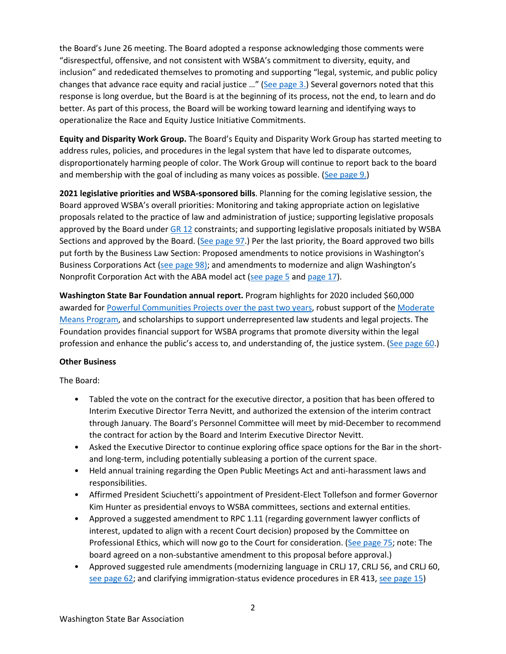the Board's June 26 meeting. The Board adopted a response acknowledging those comments were "disrespectful, offensive, and not consistent with WSBA's commitment to diversity, equity, and inclusion" and rededicated themselves to promoting and supporting "legal, systemic, and public policy changes that advance race equity and racial justice …" [\(See page 3.\)](https://urldefense.com/v3/__http:/WSBA.informz.net/z/cjUucD9taT0zMTQ5MTkxJnA9MSZ1PTM3MjU0ODkxOSZsaT0yNjcxMzgwMg/index.html__;!!MxMh4AY!wv00CG1qXapfMB_QKJ7zh2Hu65UWqq9fjckOFdR_RjBXp51yBmUxzfZR_b0$) Several governors noted that this response is long overdue, but the Board is at the beginning of its process, not the end, to learn and do better. As part of this process, the Board will be working toward learning and identifying ways to operationalize the Race and Equity Justice Initiative Commitments.

**Equity and Disparity Work Group.** The Board's Equity and Disparity Work Group has started meeting to address rules, policies, and procedures in the legal system that have led to disparate outcomes, disproportionately harming people of color. The Work Group will continue to report back to the board and membership with the goal of including as many voices as possible. [\(See page 9.\)](https://urldefense.com/v3/__http:/WSBA.informz.net/z/cjUucD9taT0zMTQ5MTkxJnA9MSZ1PTM3MjU0ODkxOSZsaT0yNjcxMzc5NA/index.html__;!!MxMh4AY!wv00CG1qXapfMB_QKJ7zh2Hu65UWqq9fjckOFdR_RjBXp51yBmUxNddWvpc$)

**2021 legislative priorities and WSBA-sponsored bills**. Planning for the coming legislative session, the Board approved WSBA's overall priorities: Monitoring and taking appropriate action on legislative proposals related to the practice of law and administration of justice; supporting legislative proposals approved by the Board under [GR 12](https://urldefense.com/v3/__http:/WSBA.informz.net/z/cjUucD9taT0zMTQ5MTkxJnA9MSZ1PTM3MjU0ODkxOSZsaT0yNjcxMzgwMw/index.html__;!!MxMh4AY!wv00CG1qXapfMB_QKJ7zh2Hu65UWqq9fjckOFdR_RjBXp51yBmUxrpKSzgo$) constraints; and supporting legislative proposals initiated by WSBA Sections and approved by the Board. [\(See page 97.](https://urldefense.com/v3/__http:/WSBA.informz.net/z/cjUucD9taT0zMTQ5MTkxJnA9MSZ1PTM3MjU0ODkxOSZsaT0yNjcxMzgwMA/index.html__;!!MxMh4AY!wv00CG1qXapfMB_QKJ7zh2Hu65UWqq9fjckOFdR_RjBXp51yBmUxS3DpYdk$)) Per the last priority, the Board approved two bills put forth by the Business Law Section: Proposed amendments to notice provisions in Washington's Business Corporations Act [\(see page 98\);](https://urldefense.com/v3/__http:/WSBA.informz.net/z/cjUucD9taT0zMTQ5MTkxJnA9MSZ1PTM3MjU0ODkxOSZsaT0yNjcxMzgwMA/index.html__;!!MxMh4AY!wv00CG1qXapfMB_QKJ7zh2Hu65UWqq9fjckOFdR_RjBXp51yBmUxS3DpYdk$) and amendments to modernize and align Washington's Nonprofit Corporation Act with the ABA model act [\(see page 5](https://urldefense.com/v3/__http:/WSBA.informz.net/z/cjUucD9taT0zMTQ5MTkxJnA9MSZ1PTM3MjU0ODkxOSZsaT0yNjcxMzgwMg/index.html__;!!MxMh4AY!wv00CG1qXapfMB_QKJ7zh2Hu65UWqq9fjckOFdR_RjBXp51yBmUxzfZR_b0$) and [page 17\)](https://urldefense.com/v3/__http:/WSBA.informz.net/z/cjUucD9taT0zMTQ5MTkxJnA9MSZ1PTM3MjU0ODkxOSZsaT0yNjcxMzc5NA/index.html__;!!MxMh4AY!wv00CG1qXapfMB_QKJ7zh2Hu65UWqq9fjckOFdR_RjBXp51yBmUxNddWvpc$).

**Washington State Bar Foundation annual report.** Program highlights for 2020 included \$60,000 awarded for [Powerful Communities Projects over the past two years,](https://urldefense.com/v3/__http:/WSBA.informz.net/z/cjUucD9taT0zMTQ5MTkxJnA9MSZ1PTM3MjU0ODkxOSZsaT0yNjcxMzgwNA/index.html__;!!MxMh4AY!wv00CG1qXapfMB_QKJ7zh2Hu65UWqq9fjckOFdR_RjBXp51yBmUx5BksLKM$) robust support of the [Moderate](https://urldefense.com/v3/__http:/WSBA.informz.net/z/cjUucD9taT0zMTQ5MTkxJnA9MSZ1PTM3MjU0ODkxOSZsaT0yNjcxMzgwNQ/index.html__;!!MxMh4AY!wv00CG1qXapfMB_QKJ7zh2Hu65UWqq9fjckOFdR_RjBXp51yBmUxwdZL2GY$)  [Means Program,](https://urldefense.com/v3/__http:/WSBA.informz.net/z/cjUucD9taT0zMTQ5MTkxJnA9MSZ1PTM3MjU0ODkxOSZsaT0yNjcxMzgwNQ/index.html__;!!MxMh4AY!wv00CG1qXapfMB_QKJ7zh2Hu65UWqq9fjckOFdR_RjBXp51yBmUxwdZL2GY$) and scholarships to support underrepresented law students and legal projects. The Foundation provides financial support for WSBA programs that promote diversity within the legal profession and enhance the public's access to, and understanding of, the justice system. [\(See page 60.](https://urldefense.com/v3/__http:/WSBA.informz.net/z/cjUucD9taT0zMTQ5MTkxJnA9MSZ1PTM3MjU0ODkxOSZsaT0yNjcxMzgwMA/index.html__;!!MxMh4AY!wv00CG1qXapfMB_QKJ7zh2Hu65UWqq9fjckOFdR_RjBXp51yBmUxS3DpYdk$))

#### **Other Business**

The Board:

- Tabled the vote on the contract for the executive director, a position that has been offered to Interim Executive Director Terra Nevitt, and authorized the extension of the interim contract through January. The Board's Personnel Committee will meet by mid-December to recommend the contract for action by the Board and Interim Executive Director Nevitt.
- Asked the Executive Director to continue exploring office space options for the Bar in the shortand long-term, including potentially subleasing a portion of the current space.
- Held annual training regarding the Open Public Meetings Act and anti-harassment laws and responsibilities.
- Affirmed President Sciuchetti's appointment of President-Elect Tollefson and former Governor Kim Hunter as presidential envoys to WSBA committees, sections and external entities.
- Approved a suggested amendment to RPC 1.11 (regarding government lawyer conflicts of interest, updated to align with a recent Court decision) proposed by the Committee on Professional Ethics, which will now go to the Court for consideration. [\(See page 75;](https://urldefense.com/v3/__http:/WSBA.informz.net/z/cjUucD9taT0zMTQ5MTkxJnA9MSZ1PTM3MjU0ODkxOSZsaT0yNjcxMzgwMA/index.html__;!!MxMh4AY!wv00CG1qXapfMB_QKJ7zh2Hu65UWqq9fjckOFdR_RjBXp51yBmUxS3DpYdk$) note: The board agreed on a non-substantive amendment to this proposal before approval.)
- Approved suggested rule amendments (modernizing language in CRLJ 17, CRLJ 56, and CRLJ 60, [see page 62;](https://urldefense.com/v3/__http:/WSBA.informz.net/z/cjUucD9taT0zMTQ5MTkxJnA9MSZ1PTM3MjU0ODkxOSZsaT0yNjcxMzgwMA/index.html__;!!MxMh4AY!wv00CG1qXapfMB_QKJ7zh2Hu65UWqq9fjckOFdR_RjBXp51yBmUxS3DpYdk$) and clarifying immigration-status evidence procedures in ER 413, [see page 15\)](https://urldefense.com/v3/__http:/WSBA.informz.net/z/cjUucD9taT0zMTQ5MTkxJnA9MSZ1PTM3MjU0ODkxOSZsaT0yNjcxMzc5NA/index.html__;!!MxMh4AY!wv00CG1qXapfMB_QKJ7zh2Hu65UWqq9fjckOFdR_RjBXp51yBmUxNddWvpc$)